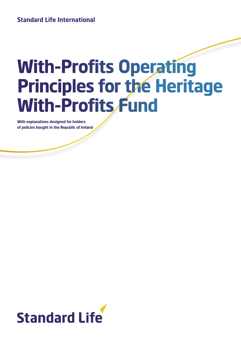# **Standard Life International**

# **With-Profits Operating Principles for the Heritage With-Profits Fund**

**With explanations designed for holders of policies bought in the Republic of Ireland**

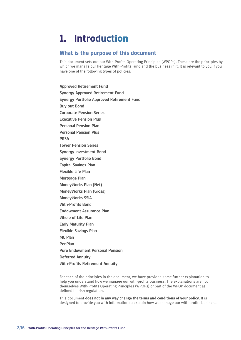# **1. Introduction**

# **What is the purpose of this document**

This document sets out our With-Profits Operating Principles (WPOPs). These are the principles by which we manage our Heritage With-Profits Fund and the business in it. It is relevant to you if you have one of the following types of policies:

Approved Retirement Fund Synergy Approved Retirement Fund Synergy Portfolio Approved Retirement Fund Buy out Bond Corporate Pension Series Executive Pension Plus Personal Pension Plan Personal Pension Plus **PRSA** Tower Pension Series Synergy Investment Bond Synergy Portfolio Bond Capital Savings Plan Flexible Life Plan Mortgage Plan MoneyWorks Plan (Net) MoneyWorks Plan (Gross) MoneyWorks SSIA With-Profits Bond Endowment Assurance Plan Whole of Life Plan Early Maturity Plan Flexible Savings Plan MC Plan PenPlan Pure Endowment Personal Pension Deferred Annuity With-Profits Retirement Annuity

For each of the principles in the document, we have provided some further explanation to help you understand how we manage our with-profits business. The explanations are not themselves With-Profits Operating Principles (WPOPs) or part of the WPOP document as defined in Irish regulation.

This document **does not in any way change the terms and conditions of your policy**. It is designed to provide you with information to explain how we manage our with-profits business.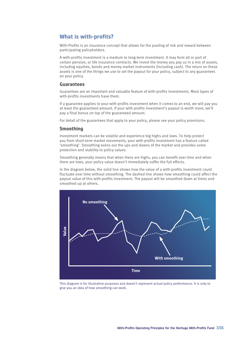# **What is with-profits?**

With-Profits is an insurance concept that allows for the pooling of risk and reward between participating policyholders.

A with-profits investment is a medium to long-term investment. It may form all or part of certain pension, or life insurance contracts. We invest the money you pay us in a mix of assets, including equities, bonds and money market instruments (including cash). The return on these assets is one of the things we use to set the payout for your policy, subject to any guarantees on your policy.

#### **Guarantees**

Guarantees are an important and valuable feature of with-profits investments. Most types of with-profits investments have them.

If a guarantee applies to your with-profits investment when it comes to an end, we will pay you at least the guaranteed amount. If your with-profits investment's payout is worth more, we'll pay a final bonus on top of the guaranteed amount.

For detail of the guarantees that apply to your policy, please see your policy provisions.

#### **Smoothing**

Investment markets can be volatile and experience big highs and lows. To help protect you from short-term market movements, your with-profits investment has a feature called 'smoothing'. Smoothing evens out the ups and downs of the market and provides some protection and stability to policy values.

Smoothing generally means that when there are highs, you can benefit over time and when there are lows, your policy value doesn't immediately suffer the full effects.

In the diagram below, the solid line shows how the value of a with-profits investment could fluctuate over time without smoothing. The dashed line shows how smoothing could affect the payout value of this with-profits investment. The payout will be smoothed down at times and smoothed up at others.



This diagram is for illustrative purposes and doesn't represent actual policy performance. It is only to give you an idea of how smoothing can work.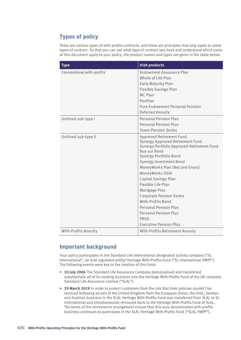# **Types of policy**

There are various types of with-profits contracts, and there are principles that only apply to some types of contract. So that you can see what type of contract you have and understand which parts of this document apply to your policy, the product names and types are given in the table below.

| <b>Type</b>               | <b>Irish products</b>                                                                                                                                                                                                                                                                                                                                                                                                                                                               |
|---------------------------|-------------------------------------------------------------------------------------------------------------------------------------------------------------------------------------------------------------------------------------------------------------------------------------------------------------------------------------------------------------------------------------------------------------------------------------------------------------------------------------|
| Conventional with-profits | <b>Endowment Assurance Plan</b><br>Whole of Life Plan<br><b>Early Maturity Plan</b><br><b>Flexible Savings Plan</b><br>MC Plan<br>PenPlan<br><b>Pure Endowment Personal Pension</b><br>Deferred Annuity                                                                                                                                                                                                                                                                             |
| Unitised sub-type I       | Personal Pension Plan<br>Personal Pension Plus<br><b>Tower Pension Series</b>                                                                                                                                                                                                                                                                                                                                                                                                       |
| Unitised sub-type II      | Approved Retirement Fund<br>Synergy Approved Retirement Fund<br>Synergy Portfolio Approved Retirement Fund<br><b>Buy out Bond</b><br>Synergy Portfolio Bond<br>Synergy Investment Bond<br>MoneyWorks Plan (Net and Gross)<br>MoneyWorks SSIA<br>Capital Savings Plan<br>Flexible Life Plan<br>Mortgage Plan<br><b>Corporate Pension Series</b><br>With-Profits Bond<br><b>Personal Pension Plan</b><br><b>Personal Pension Plus</b><br><b>PRSA</b><br><b>Executive Pension Plus</b> |
| With-Profits Annuity      | With-Profits Retirement Annuity                                                                                                                                                                                                                                                                                                                                                                                                                                                     |

# **Important background**

Your policy participates in the Standard Life International designated activity company ("SL International", an Irish regulated entity) Heritage With-Profits Fund ("SL International HWPF"). The following events were key to the creation of this fund:

- **• 10 July 2006** The Standard Life Assurance Company demutualised and transferred substantially all of its existing business into the Heritage With-Profits Fund of the UK company Standard Life Assurance Limited ("SLAL").
- **• 29 March 2019** In order to protect customers from the risk that their policies couldn't be serviced following an exit of the United Kingdom from the European Union, the Irish, German and Austrian business in the SLAL Heritage With-Profits Fund was transferred from SLAL to SL International and simultaneously reinsured back to the Heritage With-Profits Fund of SLAL. The terms of the reinsurance arrangement ensure that this euro denominated with-profits business continues to participate in the SLAL Heritage With-Profits Fund ("SLAL HWPF").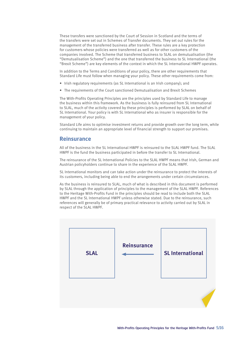These transfers were sanctioned by the Court of Session in Scotland and the terms of the transfers were set out in Schemes of Transfer documents. They set out rules for the management of the transferred business after transfer. These rules are a key protection for customers whose policies were transferred as well as for other customers of the companies involved. The Scheme that transferred business to SLAL on demutualisation (the "Demutualisation Scheme") and the one that transferred the business to SL International (the "Brexit Scheme") are key elements of the context in which the SL International HWPF operates.

In addition to the Terms and Conditions of your policy, there are other requirements that Standard Life must follow when managing your policy. These other requirements come from:

- Irish regulatory requirements (as SL International is an Irish company); and
- The requirements of the Court sanctioned Demutualisation and Brexit Schemes

The With-Profits Operating Principles are the principles used by Standard Life to manage the business within this framework. As the business is fully reinsured from SL International to SLAL, much of the activity covered by these principles is performed by SLAL on behalf of SL International. Your policy is with SL International who as insurer is responsible for the management of your policy.

Standard Life aims to optimise investment returns and provide growth over the long term, while continuing to maintain an appropriate level of financial strength to support our promises.

### **Reinsurance**

All of the business in the SL International HWPF is reinsured to the SLAL HWPF fund. The SLAL HWPF is the fund the business participated in before the transfer to SL International.

The reinsurance of the SL International Policies to the SLAL HWPF means that Irish, German and Austrian policyholders continue to share in the experience of the SLAL HWPF.

SL International monitors and can take action under the reinsurance to protect the interests of its customers, including being able to end the arrangements under certain circumstances.

As the business is reinsured to SLAL, much of what is described in this document is performed by SLAL through the application of principles to the management of the SLAL HWPF. References to the Heritage With-Profits Fund in the principles should be read to include both the SLAL HWPF and the SL International HWPF unless otherwise stated. Due to the reinsurance, such references will generally be of primary practical relevance to activity carried out by SLAL in respect of the SLAL HWPF.

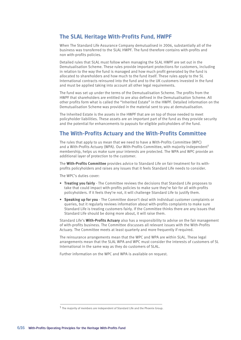# **The SLAL Heritage With-Profits Fund, HWPF**

When The Standard Life Assurance Company demutualised in 2006, substantially all of the business was transferred to the SLAL HWPF. The fund therefore contains with-profits and non with-profits policies.

Detailed rules that SLAL must follow when managing the SLAL HWPF are set out in the Demutualisation Scheme. These rules provide important protections for customers, including in relation to the way the fund is managed and how much profit generated by the fund is allocated to shareholders and how much to the fund itself. These rules apply to the SL International contracts reinsured into the fund and to the UK customers invested in the fund and must be applied taking into account all other legal requirements.

The fund was set up under the terms of the Demutualisation Scheme. The profits from the HWPF that shareholders are entitled to are also defined in the Demutualisation Scheme. All other profits form what is called the "Inherited Estate" in the HWPF. Detailed information on the Demutualisation Scheme was provided in the material sent to you at demutualisation.

The Inherited Estate is the assets in the HWPF that are on top of those needed to meet policyholder liabilities. These assets are an important part of the fund as they provide security and the potential for enhancements to payouts for eligible policyholders of the fund.

# **The With-Profits Actuary and the With-Profits Committee**

The rules that apply to us mean that we need to have a With-Profits Committee (WPC) and a With-Profits Actuary (WPA). Our With-Profits Committee, with majority independent<sup>1</sup> membership, helps us make sure your interests are protected. The WPA and WPC provide an additional layer of protection to the customer.

The **With-Profits Committee** provides advice to Standard Life on fair treatment for its withprofits policyholders and raises any issues that it feels Standard Life needs to consider.

The WPC's duties cover:

- **• Treating you fairly** The Committee reviews the decisions that Standard Life proposes to take that could impact with-profits policies to make sure they're fair for all with-profits policyholders. If it feels they're not, it will challenge Standard Life to justify them.
- **• Speaking up for you** The Committee doesn't deal with individual customer complaints or queries, but it regularly reviews information about with-profits complaints to make sure Standard Life is treating customers fairly. If the Committee thinks there are any issues that Standard Life should be doing more about, it will raise them.

Standard Life's **With-Profits Actuary** also has a responsibility to advise on the fair management of with-profits business. The Committee discusses all relevant issues with the With-Profits Actuary. The Committee meets at least quarterly and more frequently if required.

The reinsurance arrangements mean that the WPC and WPA are within SLAL. These legal arrangements mean that the SLAL WPA and WPC must consider the interests of customers of SL International in the same way as they do customers of SLAL.

Further information on the WPC and WPA is available on request.

<sup>1</sup> The majority of members are independent of Standard Life and the Phoenix Group.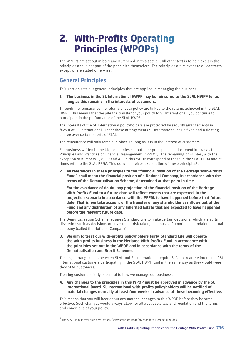# **2. With-Profits Operating Principles (WPOPs)**

The WPOPs are set out in bold and numbered in this section. All other text is to help explain the principles and is not part of the principles themselves. The principles are relevant to all contracts except where stated otherwise.

# **General Principles**

This section sets out general principles that are applied in managing the business:

**1. The business in the SL International HWPF may be reinsured to the SLAL HWPF for as long as this remains in the interests of customers.**

Through the reinsurance the returns of your policy are linked to the returns achieved in the SLAL HWPF. This means that despite the transfer of your policy to SL International, you continue to participate in the performance of the SLAL HWPF.

The interests of the SL International policyholders are protected by security arrangements in favour of SL International. Under these arrangements SL International has a fixed and a floating charge over certain assets of SLAL.

The reinsurance will only remain in place so long as it is in the interest of customers.

For business written in the UK, companies set out their principles in a document known as the Principles and Practices of Financial Management ("PPFM"). The remaining principles, with the exception of numbers 1, 8, 39 and 45, in this WPOP correspond to those in the SLAL PPFM and at times refer to the SLAL PPFM. This document gives explanation of these principles2.

**2. All references in these principles to the "financial position of the Heritage With-Profits Fund" shall mean the financial position of a Notional Company, in accordance with the terms of the Demutualisation Scheme, determined at that point in time.**

**For the avoidance of doubt, any projection of the financial position of the Heritage With-Profits Fund to a future date will reflect events that are expected, in the projection scenario in accordance with the PPFM, to have happened before that future date. That is, we take account of the transfer of any shareholder cashflows out of the Fund and any distribution of any Inherited Estate that are expected to have happened before the relevant future date.**

The Demutualisation Scheme requires Standard Life to make certain decisions, which are at its discretion such as decisions on investment risk taken, on a basis of a notional standalone mutual company (called the Notional Company).

**3. We aim to treat our with-profits policyholders fairly. Standard Life will operate the with-profits business in the Heritage With-Profits Fund in accordance with the principles set out in the WPOP and in accordance with the terms of the Demutualisation and Brexit Schemes.**

The legal arrangements between SLAL and SL International require SLAL to treat the interests of SL International customers participating in the SLAL HWPF fund in the same way as they would were they SLAL customers.

Treating customers fairly is central to how we manage our business.

**4. Any changes to the principles in this WPOP must be approved in advance by the SL International Board. SL International with-profits policyholders will be notified of material changes normally at least four weeks in advance of these becoming effective.**

This means that you will hear about any material changes to this WPOP before they become effective. Such changes would always allow for all applicable law and regulation and the terms and conditions of your policy.

2 The SLAL PPFM is available here: https://www.standardlife.ie/my-standard-life/useful-guides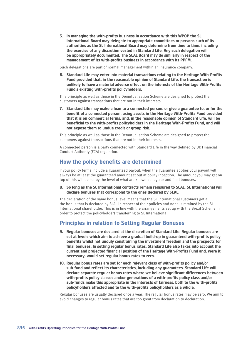**5. In managing the with-profits business in accordance with this WPOP the SL International Board may delegate to appropriate committees or persons such of its authorities as the SL International Board may determine from time to time, including the exercise of any discretion vested in Standard Life. Any such delegation will be appropriately documented. The SLAL Board may do similarly in respect of the management of its with-profits business in accordance with its PPFM.**

Such delegations are part of normal management within an insurance company.

**6. Standard Life may enter into material transactions relating to the Heritage With-Profits Fund provided that, in the reasonable opinion of Standard Life, the transaction is unlikely to have a material adverse effect on the interests of the Heritage With-Profits Fund's existing with-profits policyholders.**

This principle as well as those in the Demutualisation Scheme are designed to protect the customers against transactions that are not in their interests.

**7. Standard Life may make a loan to a connected person, or give a guarantee to, or for the benefit of a connected person, using assets in the Heritage With-Profits Fund provided that it is on commercial terms, and, in the reasonable opinion of Standard Life, will be beneficial to the with-profits policyholders in the Heritage With-Profits Fund, and will not expose them to undue credit or group risk.**

This principle as well as those in the Demutualisation Scheme are designed to protect the customers against transactions that are not in their interests.

A connected person is a party connected with Standard Life in the way defined by UK Financial Conduct Authority (FCA) regulation.

### **How the policy benefits are determined**

If your policy terms include a guaranteed payout, when the guarantee applies your payout will always be at least the guaranteed amount set out at policy inception. The amount you may get on top of this will be set by the level of what are known as regular and final bonuses.

#### **8. So long as the SL International contracts remain reinsured to SLAL, SL International will declare bonuses that correspond to the ones declared by SLAL.**

The declaration of the same bonus level means that the SL International customers get all the bonus that is declared by SLAL in respect of their policies and none is retained by the SL International shareholder. This is in line with the arrangements set up with the Brexit Scheme in order to protect the policyholders transferring to SL International.

# **Principles in relation to Setting Regular Bonuses**

- **9. Regular bonuses are declared at the discretion of Standard Life. Regular bonuses are set at levels which aim to achieve a gradual build-up in guaranteed with-profits policy benefits whilst not unduly constraining the investment freedom and the prospects for final bonuses. In setting regular bonus rates, Standard Life also takes into account the current and projected financial position of the Heritage With-Profits Fund and, were it necessary, would set regular bonus rates to zero.**
- **10. Regular bonus rates are set for each relevant class of with-profits policy and/or sub-fund and reflect its characteristics, including any guarantees. Standard Life will declare separate regular bonus rates where we believe significant differences between with-profits policy classes and/or generations of a with-profits policy class and/or sub-funds make this appropriate in the interests of fairness, both to the with-profits policyholders affected and to the with-profits policyholders as a whole.**

Regular bonuses are usually declared once a year. The regular bonus rates may be zero. We aim to avoid changes to regular bonus rates that are too great from declaration to declaration.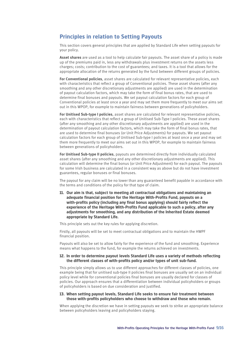# **Principles in relation to Setting Payouts**

This section covers general principles that are applied by Standard Life when setting payouts for your policy.

**Asset shares** are used as a tool to help calculate fair payouts. The asset share of a policy is made up of the premiums paid in, less any withdrawals plus investment returns on the assets less charges; costs; contribution to the cost of guarantees; and taxes. It is a tool that allows for the appropriate allocation of the returns generated by the fund between different groups of policies.

**For Conventional policies**, asset shares are calculated for relevant representative policies, each with characteristics that reflect a group of Conventional policies. These asset shares (after any smoothing and any other discretionary adjustments are applied) are used in the determination of payout calculation factors, which may take the form of final bonus rates, that are used to determine final bonuses and payouts. We set payout calculation factors for each group of Conventional policies at least once a year and may set them more frequently to meet our aims set out in this WPOP, for example to maintain fairness between generations of policyholders.

**For Unitised Sub-type I policies**, asset shares are calculated for relevant representative policies, each with characteristics that reflect a group of Unitised Sub-Type I policies. These asset shares (after any smoothing and any other discretionary adjustments are applied) are used in the determination of payout calculation factors, which may take the form of final bonus rates, that are used to determine final bonuses (or Unit Price Adjustments) for payouts. We set payout calculation factors for each group of Unitised Sub-type I policies at least once a year and may set them more frequently to meet our aims set out in this WPOP, for example to maintain fairness between generations of policyholders.

**For Unitised Sub-type II policies**, payouts are determined directly from individually calculated asset shares (after any smoothing and any other discretionary adjustments are applied). This calculation will determine the final bonus (or Unit Price Adjustment) for each payout. The payouts for some Irish business are calculated in a consistent way as above but do not have investment guarantees, regular bonuses or final bonuses.

The payout for any claim will be no lower than any guaranteed benefit payable in accordance with the terms and conditions of the policy for that type of claim.

**11. Our aim is that, subject to meeting all contractual obligations and maintaining an adequate financial position for the Heritage With-Profits Fund, payouts on a with-profits policy (including any final bonus applying) should fairly reflect the experience of the Heritage With-Profits Fund applicable to such a policy, after any adjustments for smoothing, and any distribution of the Inherited Estate deemed appropriate by Standard Life.**

This principle sets out the key rules for applying discretion.

Firstly, all payouts will be set to meet contractual obligations and to maintain the HWPF financial position.

Payouts will also be set to allow fairly for the experience of the fund and smoothing. Experience means what happens to the fund, for example the returns achieved on investments.

#### **12. In order to determine payout levels Standard Life uses a variety of methods reflecting the different classes of with-profits policy and/or types of unit sub-fund.**

This principle simply allows us to use different approaches for different classes of policies, one example being that for unitised sub-type II policies final bonuses are usually set on an individual policy level while for conventional policies final bonuses are usually declared for classes of policies. Our approach ensures that a differentiation between individual policyholders or groups of policyholders is based on due consideration and justified.

#### **13. When setting payout levels, Standard Life seeks to ensure fair treatment between those with-profits policyholders who choose to withdraw and those who remain.**

When applying the discretion we have in setting payouts we seek to strike an appropriate balance between policyholders leaving and policyholders staying.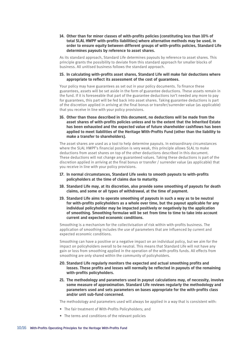**14. Other than for minor classes of with-profits policies (constituting less than 10% of total SLAL HWPF with-profits liabilities) where alternative methods may be used, in order to ensure equity between different groups of with-profits policies, Standard Life determines payouts by reference to asset shares.**

As its standard approach, Standard Life determines payouts by reference to asset shares. This principle grants the possibility to deviate from this standard approach for smaller blocks of business. All unitised business follows the standard approach.

#### **15. In calculating with-profits asset shares, Standard Life will make fair deductions where appropriate to reflect its assessment of the cost of guarantees.**

Your policy may have guarantees as set out in your policy documents. To finance these guarantees, assets will be set aside in the form of guarantee deductions. These assets remain in the fund. If it is foreseeable that part of the guarantee deductions isn't needed any more to pay for guarantees, this part will be fed back into asset shares. Taking guarantee deductions is part of the discretion applied in arriving at the final bonus or transfer/surrender value (as applicable) that you receive in line with your policy provisions.

**16. Other than those described in this document, no deductions will be made from the asset shares of with-profits policies unless and to the extent that the Inherited Estate has been exhausted and the expected value of future shareholder cashflows has been applied to meet liabilities of the Heritage With-Profits Fund (other than the liability to make a transfer to shareholders).**

The asset shares are used as a tool to help determine payouts. In extraordinary circumstances where the SLAL HWPF's financial position is very weak, this principle allows SLAL to make deductions from asset shares on top of the other deductions described in this document. These deductions will not change any guaranteed values. Taking these deductions is part of the discretion applied in arriving at the final bonus or transfer / surrender value (as applicable) that you receive in line with your policy provisions.

- **17. In normal circumstances, Standard Life seeks to smooth payouts to with-profits policyholders at the time of claims due to maturity.**
- **18. Standard Life may, at its discretion, also provide some smoothing of payouts for death claims, and some or all types of withdrawal, at the time of payment.**
- **19. Standard Life aims to operate smoothing of payouts in such a way as to be neutral for with-profits policyholders as a whole over time, but the payout applicable for any individual policyholder may be impacted positively or negatively by the application of smoothing. Smoothing formulae will be set from time to time to take into account current and expected economic conditions.**

Smoothing is a mechanism for the collectivisation of risk within with-profits business. The application of smoothing includes the use of parameters that are influenced by current and expected economic conditions.

Smoothing can have a positive or a negative impact on an individual policy, but we aim for the impact on policyholders overall to be neutral. This means that Standard Life will not have any gain or loss from smoothing applied in the operation of the with-profits funds. All effects from smoothing are only shared within the community of policyholders.

- **20. Standard Life regularly monitors the expected and actual smoothing profits and losses. These profits and losses will normally be reflected in payouts of the remaining with-profits policyholders.**
- **21. The methodology and parameters used in payout calculations may, of necessity, involve some measure of approximation. Standard Life reviews regularly the methodology and parameters used and sets parameters on bases appropriate for the with-profits class and/or unit sub-fund concerned.**

The methodology and parameters used will always be applied in a way that is consistent with:

- The fair treatment of With-Profits Policyholders; and
- The terms and conditions of the relevant policies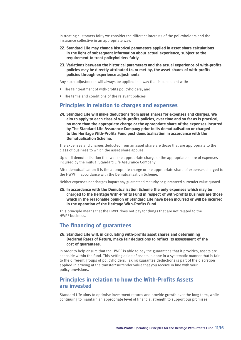In treating customers fairly we consider the different interests of the policyholders and the insurance collective in an appropriate way.

- **22. Standard Life may change historical parameters applied in asset share calculations in the light of subsequent information about actual experience, subject to the requirement to treat policyholders fairly.**
- **23. Variations between the historical parameters and the actual experience of with-profits policies may be directly attributed to, or met by, the asset shares of with-profits policies through experience adjustments.**

Any such adjustments will always be applied in a way that is consistent with:

- The fair treatment of with-profits policyholders; and
- The terms and conditions of the relevant policies

### **Principles in relation to charges and expenses**

**24. Standard Life will make deductions from asset shares for expenses and charges. We aim to apply to each class of with-profits policies, over time and so far as is practical, no more than the appropriate charge or the appropriate share of the expenses incurred by The Standard Life Assurance Company prior to its demutualisation or charged to the Heritage With-Profits Fund post demutualisation in accordance with the Demutualisation Scheme.**

The expenses and charges deducted from an asset share are those that are appropriate to the class of business to which the asset share applies.

Up until demutualisation that was the appropriate charge or the appropriate share of expenses incurred by the mutual Standard Life Assurance Company.

After demutualisation it is the appropriate charge or the appropriate share of expenses charged to the HWPF in accordance with the Demutualisation Scheme.

Neither expenses nor charges impact any guaranteed maturity or guaranteed surrender value quoted.

**25. In accordance with the Demutualisation Scheme the only expenses which may be charged to the Heritage With-Profits Fund in respect of with-profits business are those which in the reasonable opinion of Standard Life have been incurred or will be incurred in the operation of the Heritage With-Profits Fund.**

This principle means that the HWPF does not pay for things that are not related to the HWPF business.

#### **The financing of guarantees**

#### **26. Standard Life will, in calculating with-profits asset shares and determining Declared Rates of Return, make fair deductions to reflect its assessment of the cost of guarantees.**

In order to help ensure that the HWPF is able to pay the guarantees that it provides, assets are set aside within the fund. This setting aside of assets is done in a systematic manner that is fair to the different groups of policyholders. Taking guarantee deductions is part of the discretion applied in arriving at the transfer/surrender value that you receive in line with your policy provisions.

# **Principles in relation to how the With-Profits Assets are invested**

Standard Life aims to optimise investment returns and provide growth over the long term, while continuing to maintain an appropriate level of financial strength to support our promises.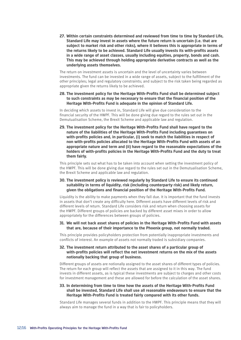**27. Within certain constraints determined and reviewed from time to time by Standard Life, Standard Life may invest in assets where the future return is uncertain (i.e. that are subject to market risk and other risks), where it believes this is appropriate in terms of the returns likely to be achieved. Standard Life usually invests its with-profits assets in a wide range of asset classes, usually including equities, property, bonds and cash. This may be achieved through holding appropriate derivative contracts as well as the underlying assets themselves.**

The return on investment assets is uncertain and the level of uncertainty varies between investments. The fund can be invested in a wide range of assets, subject to the fulfillment of the other principles; legal and regulatory constraints; and subject to the risk taken being regarded as appropriate given the returns likely to be achieved.

**28. The investment policy for the Heritage With-Profits Fund shall be determined subject to such constraints as may be necessary to ensure that the financial position of the Heritage With-Profits Fund is adequate in the opinion of Standard Life.**

In deciding which assets to invest in, Standard Life will give due consideration to the financial security of the HWPF. This will be done giving due regard to the rules set out in the Demutualisation Scheme, the Brexit Scheme and applicable law and regulation.

**29. The investment policy for the Heritage With-Profits Fund shall have regard to the nature of the liabilities of the Heritage With-Profits Fund including guarantees on with-profits policies and, in particular, (i) seek to match the liabilities in respect of non with-profits policies allocated to the Heritage With-Profits Fund with assets of an appropriate nature and term and (ii) have regard to the reasonable expectations of the holders of with-profits policies in the Heritage With-Profits Fund and the duty to treat them fairly.**

This principle sets out what has to be taken into account when setting the investment policy of the HWPF. This will be done giving due regard to the rules set out in the Demutualisation Scheme, the Brexit Scheme and applicable law and regulation.

#### **30. The investment policy is reviewed regularly by Standard Life to ensure its continued suitability in terms of liquidity, risk (including counterparty risk) and likely return, given the obligations and financial position of the Heritage With-Profits Fund.**

Liquidity is the ability to make payments when they fall due. It is important that the fund invests in assets that don't create any difficulty here. Different assets have different levels of risk and different levels of return. Standard Life considers risk and return when choosing assets for the HWPF. Different groups of policies are backed by different asset mixes in order to allow appropriately for the differences between groups of policies.

#### **31. We will not back asset shares of policies in the Heritage With-Profits Fund with assets that are, because of their importance to the Phoenix group, not normally traded.**

This principle provides policyholders protection from potentially inappropriate investments and conflicts of interest. An example of assets not normally traded is subsidiary companies.

#### **32. The investment return attributed to the asset shares of a particular group of with-profits policies will reflect the net investment returns on the mix of the assets notionally backing that group of business.**

Different groups of assets are notionally assigned to the asset shares of different types of policies. The return for each group will reflect the assets that are assigned to it in this way. The fund invests in different assets, as is typical these investments are subject to charges and other costs for investment management and these are allowed for before the calculation of the asset shares.

#### **33. In determining from time to time how the assets of the Heritage With-Profits Fund shall be invested, Standard Life shall use all reasonable endeavours to ensure that the Heritage With-Profits Fund is treated fairly compared with its other funds.**

Standard Life manages several funds in addition to the HWPF. This principle means that they will always aim to manage the fund in a way that is fair to policyholders.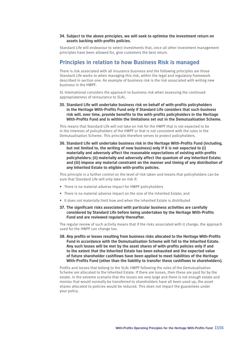#### **34. Subject to the above principles, we will seek to optimise the investment return on assets backing with-profits policies.**

Standard Life will endeavour to select investments that, once all other investment management principles have been allowed for, give customers the best return.

### **Principles in relation to how Business Risk is managed**

There is risk associated with all insurance business and the following principles are those Standard Life works to when managing this risk, within the legal and regulatory framework described in section one. An example of business risk is the risk associated with writing new business in the HWPF.

SL International considers the approach to business risk when assessing the continued appropriateness of reinsurance to SLAL.

**35. Standard Life will undertake business risk on behalf of with-profits policyholders in the Heritage With-Profits Fund only if Standard Life considers that such business risk will, over time, provide benefits to the with-profits policyholders in the Heritage With-Profits Fund and is within the limitations set out in the Demutualisation Scheme.**

This means that Standard Life will not take on risk for the HWPF that is not expected to be in the interests of policyholders of the HWPF or that is not consistent with the rules in the Demutualisation Scheme. This principle therefore serves to protect policyholders.

**36. Standard Life will undertake business risk in the Heritage With-Profits Fund (including, but not limited to, the writing of new business) only if it is not expected to (i) materially and adversely affect the reasonable expectations of existing with-profits policyholders; (ii) materially and adversely affect the quantum of any Inherited Estate; and (iii) impose any material constraint on the manner and timing of any distribution of any Inherited Estate to eligible with-profits policies.**

This principle is a further control on the level of risk taken and means that policyholders can be sure that Standard Life will only take on risk if:

- There is no material adverse impact for HWPF policyholders
- There is no material adverse impact on the size of the Inherited Estate; and
- It does not materially limit how and when the Inherited Estate is distributed
- **37. The significant risks associated with particular business activities are carefully considered by Standard Life before being undertaken by the Heritage With-Profits Fund and are reviewed regularly thereafter.**

The regular review of such activity means that if the risks associated with it change, the approach used for the HWPF can change too.

**38. Any profits or losses resulting from business risks allocated to the Heritage With-Profits Fund in accordance with the Demutualisation Scheme will fall to the Inherited Estate. Any such losses will be met by the asset shares of with-profits policies only if and to the extent that the Inherited Estate has been exhausted and the expected value of future shareholder cashflows have been applied to meet liabilities of the Heritage With-Profits Fund (other than the liability to transfer these cashflows to shareholders).**

Profits and losses that belong to the SLAL HWPF following the rules of the Demutualisation Scheme are allocated to the Inherited Estate. If there are losses, then these are paid for by the estate. In the extreme scenario that the losses are very large and there is not enough estate and monies that would normally be transferred to shareholders have all been used up, the asset shares allocated to policies would be reduced. This does not impact the guarantees under your policy.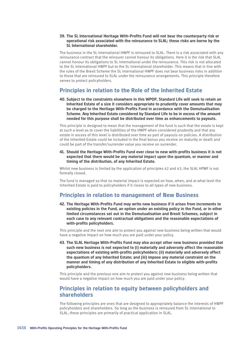#### **39. The SL International Heritage With-Profits Fund will not bear the counterparty risk or operational risk associated with the reinsurance to SLAL; these risks are borne by the SL International shareholder.**

The business in the SL International HWPF is reinsured to SLAL. There is a risk associated with any reinsurance contract that the reinsurer cannot honour its obligations. Here it is the risk that SLAL cannot honour its obligations to SL International under the reinsurance. This risk is not allocated to the SL International HWPF but to the SL International shareholder. This means that in line with the rules of the Brexit Scheme the SL International HWPF does not bear business risks in addition to those that are reinsured to SLAL under the reinsurance arrangements. This principle therefore serves to protect policyholders.

# **Principles in relation to the Role of the Inherited Estate**

**40. Subject to the constraints elsewhere in this WPOP, Standard Life will seek to retain an Inherited Estate of a size it considers appropriate to prudently cover amounts that may be charged to the Heritage With-Profits Fund in accordance with the Demutualisation Scheme. Any Inherited Estate considered by Standard Life to be in excess of the amount needed for this purpose shall be distributed over time as enhancements to payouts.**

This principle is designed to mean that the management of the fund is such that the estate is kept at such a level as to cover the liabilities of the HWPF when considered prudently and that any estate in excess of this level is distributed over time as part of payouts on policies. A distribution of the Inherited Estate could be included in the final bonus you receive on maturity or death and could be part of the transfer/surrender value you receive on surrender.

**41. Should the Heritage With-Profits Fund ever close to new with-profits business it is not expected that there would be any material impact upon the quantum, or manner and timing of the distribution, of any Inherited Estate.**

Whilst new business is limited by the application of principles 42 and 43, the SLAL HPWF is not formally closed.

The fund is managed so that no material impact is expected on how, when, and at what level the Inherited Estate is paid to policyholders if it closes to all types of new business.

# **Principles in relation to management of New Business**

**42. The Heritage With-Profits Fund may write new business if it arises from increments to existing policies in the Fund, an option under an existing policy in the Fund, or in other limited circumstances set out in the Demutualisation and Brexit Schemes, subject in each case to any relevant contractual obligations and the reasonable expectations of with-profits policyholders.**

This principle and the next one aim to protect you against new business being written that would have a negative impact on how much you are paid under your policy.

**43. The SLAL Heritage With-Profits Fund may also accept other new business provided that such new business is not expected to (i) materially and adversely affect the reasonable expectations of existing with-profits policyholders; (ii) materially and adversely affect the quantum of any Inherited Estate; and (iii) impose any material constraint on the manner and timing of any distribution of any Inherited Estate to eligible with-profits policyholders.**

This principle and the previous one aim to protect you against new business being written that would have a negative impact on how much you are paid under your policy.

# **Principles in relation to equity between policyholders and shareholders**

The following principles are ones that are designed to appropriately balance the interests of HWPF policyholders and shareholders. So long as the business is reinsured from SL International to SLAL, these principles are primarily of practical application in SLAL.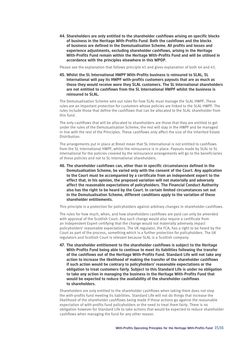**44. Shareholders are only entitled to the shareholder cashflows arising on specific blocks of business in the Heritage With-Profits Fund. Both the cashflows and the blocks of business are defined in the Demutualisation Scheme. All profits and losses and experience adjustments, excluding shareholder cashflows, arising in the Heritage With-Profits Fund remain within the Heritage With-Profits Fund and will be utilised in accordance with the principles elsewhere in this WPOP.**

Please see the explanation that follows principle 45 and gives explanation of both 44 and 45.

**45. Whilst the SL International HWPF With-Profits business is reinsured to SLAL, SL International will pay its HWPF with-profits customers payouts that are as much as those they would receive were they SLAL customers. The SL International shareholders are not entitled to cashflows from the SL International HWPF whilst the business is reinsured to SLAL.**

The Demutualisation Scheme sets out rules for how SLAL must manage the SLAL HWPF. These rules are an important protection for customers whose policies are linked to the SLAL HWPF. The rules include those that define the cashflows that can be allocated to the SLAL shareholder from this fund.

The only cashflows that will be allocated to shareholders are those that they are entitled to get under the rules of the Demutualisation Scheme, the rest will stay in the HWPF and be managed in line with the rest of the Principles. These cashflows only affect the size of the Inherited Estate Distribution.

The arrangements put in place at Brexit mean that SL International is not entitled to cashflows from the SL International HWPF, whilst the reinsurance is in place. Payouts made by SLAL to SL International for the policies covered by the reinsurance arrangements will go to the beneficiaries of these policies and not to SL International shareholders.

**46. The shareholder cashflows can, other than in specific circumstances defined in the Demutualisation Scheme, be varied only with the consent of the Court. Any application to the Court must be accompanied by a certificate from an independent expert to the effect that, in his opinion, the proposed variation will not materially and adversely affect the reasonable expectations of policyholders. The Financial Conduct Authority also has the right to be heard by the Court. In certain limited circumstances set out in the Demutualisation Scheme, different conditions apply to the variation of these shareholder entitlements.**

This principle is a protection for policyholders against arbitrary changes in shareholder cashflows.

The rules for how much, when, and how shareholders cashflows are paid can only be amended with approval of the Scottish Court. Any such change would also require a certificate from an Independent Expert certifying that the change would not materially adversely impact policyholders' reasonable expectations. The UK regulator, the FCA, has a right to be heard by the Court as part of the process, something which is a further protection for policyholders. The UK regulators and Scottish Court is relevant because SLAL is a Scottish company.

**47. The shareholder entitlement to the shareholder cashflows is subject to the Heritage With-Profits Fund being able to continue to meet its liabilities following the transfer of the cashflows out of the Heritage With-Profits Fund. Standard Life will not take any action to increase the likelihood of making the transfer of the shareholder cashflows if such action would be contrary to policyholders' reasonable expectations or the obligation to treat customers fairly. Subject to this Standard Life is under no obligation to take any action in managing the business in the Heritage With-Profits Fund that would be expected to reduce the availability of the shareholder cashflows to shareholders.**

Shareholders are only entitled to the shareholder cashflows when taking them does not stop the with-profits fund meeting its liabilities. Standard Life will not do things that increase the likelihood of the shareholder cashflows being made if these actions go against the reasonable expectation of with-profits fund policyholders or the need to treat them fairly. There is no obligation however for Standard Life to take actions that would be expected to reduce shareholder cashflows when managing the fund for any other reason.